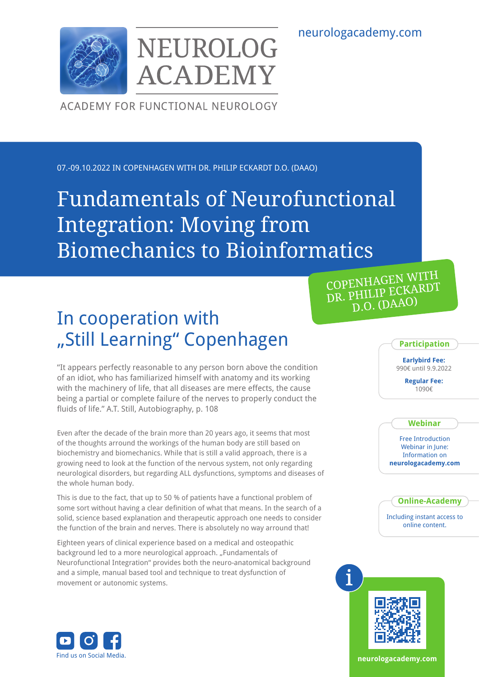neurologacademy.com



NEUROLOG **ACADEMY** 

ACADEMY FOR FUNCTIONAL NEUROLOGY

07.-09.10.2022 IN COPENHAGEN WITH DR. PHILIP ECKARDT D.O. (DAAO)

# Fundamentals of Neurofunctional Integration: Moving from Biomechanics to Bioinformatics

# In cooperation with "Still Learning" Copenhagen

"It appears perfectly reasonable to any person born above the condition of an idiot, who has familiarized himself with anatomy and its working with the machinery of life, that all diseases are mere effects, the cause being a partial or complete failure of the nerves to properly conduct the fluids of life." A.T. Still, Autobiography, p. 108

Even after the decade of the brain more than 20 years ago, it seems that most of the thoughts arround the workings of the human body are still based on biochemistry and biomechanics. While that is still a valid approach, there is a growing need to look at the function of the nervous system, not only regarding neurological disorders, but regarding ALL dysfunctions, symptoms and diseases of the whole human body.

This is due to the fact, that up to 50 % of patients have a functional problem of some sort without having a clear definition of what that means. In the search of a solid, science based explanation and therapeutic approach one needs to consider the function of the brain and nerves. There is absolutely no way arround that!

Eighteen years of clinical experience based on a medical and osteopathic background led to a more neurological approach. "Fundamentals of Neurofunctional Integration" provides both the neuro-anatomical background and a simple, manual based tool and technique to treat dysfunction of movement or autonomic systems.



**Participation**

**Earlybird Fee:** 990€ until 9.9.2022

> **Regular Fee:**  1090€

#### **Webinar**

Free Introduction Webinar in June: Information on **neurologacademy.com**

**Online-Academy**

Including instant access to online content.